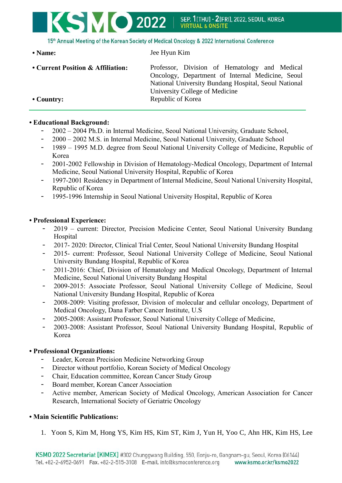## KSMO 2022 SEP. 1ITHUI - 2IFRII. 2022. SEOUL. KOREA **VIRTUAL & ONSITE**

15th Annual Meeting of the Korean Society of Medical Oncology & 2022 International Conference

**• Name:** Jee Hyun Kim

• Current Position & Affiliation: Professor, Division of Hematology and Medical Oncology, Department of Internal Medicine, Seoul National University Bundang Hospital, Seoul National University College of Medicine • Country: Republic of Korea

#### **• Educational Background:**

- 2002 2004 Ph.D. in Internal Medicine, Seoul National University, Graduate School,
- 2000 2002 M.S. in Internal Medicine, Seoul National University, Graduate School
- 1989 1995 M.D. degree from Seoul National University College of Medicine, Republic of Korea
- 2001-2002 Fellowship in Division of Hematology-Medical Oncology, Department of Internal Medicine, Seoul National University Hospital, Republic of Korea
- 1997-2001 Residency in Department of Internal Medicine, Seoul National University Hospital, Republic of Korea
- 1995-1996 Internship in Seoul National University Hospital, Republic of Korea

## **• Professional Experience:**

- 2019 current: Director, Precision Medicine Center, Seoul National University Bundang **Hospital**
- 2017- 2020: Director, Clinical Trial Center, Seoul National University Bundang Hospital
- 2015- current: Professor, Seoul National University College of Medicine, Seoul National University Bundang Hospital, Republic of Korea
- 2011-2016: Chief, Division of Hematology and Medical Oncology, Department of Internal Medicine, Seoul National University Bundang Hospital
- 2009-2015: Associate Professor, Seoul National University College of Medicine, Seoul National University Bundang Hospital, Republic of Korea
- 2008-2009: Visiting professor, Division of molecular and cellular oncology, Department of Medical Oncology, Dana Farber Cancer Institute, U.S
- 2005-2008: Assistant Professor, Seoul National University College of Medicine,
- 2003-2008: Assistant Professor, Seoul National University Bundang Hospital, Republic of Korea

#### **• Professional Organizations:**

- Leader, Korean Precision Medicine Networking Group
- Director without portfolio, Korean Society of Medical Oncology
- Chair, Education committee, Korean Cancer Study Group
- Board member, Korean Cancer Association
- Active member, American Society of Medical Oncology, American Association for Cancer Research, International Society of Geriatric Oncology

# **• Main Scientific Publications:**

1. Yoon S, Kim M, Hong YS, Kim HS, Kim ST, Kim J, Yun H, Yoo C, Ahn HK, Kim HS, Lee